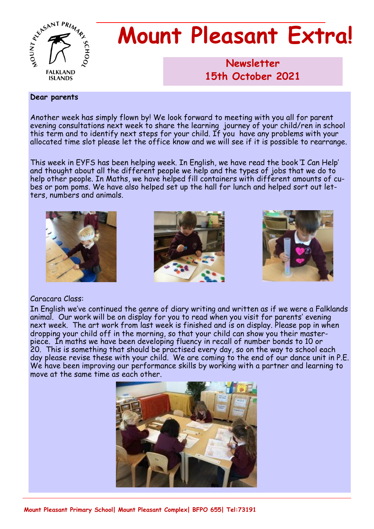

# **Mount Pleasant Extra!**

**Newsletter 1986 15th October 2021**

#### **Dear parents**

Another week has simply flown by! We look forward to meeting with you all for parent evening consultations next week to share the learning journey of your child/ren in school this term and to identify next steps for your child. If you have any problems with your allocated time slot please let the office know and we will see if it is possible to rearrange.

This week in EYFS has been helping week. In English, we have read the book 'I Can Help' and thought about all the different people we help and the types of jobs that we do to help other people. In Maths, we have helped fill containers with different amounts of cubes or pom poms. We have also helped set up the hall for lunch and helped sort out letters, numbers and animals.







### Caracara Class:

In English we've continued the genre of diary writing and written as if we were a Falklands animal. Our work will be on display for you to read when you visit for parents' evening next week. The art work from last week is finished and is on display. Please pop in when dropping your child off in the morning, so that your child can show you their masterpiece. In maths we have been developing fluency in recall of number bonds to 10 or 20. This is something that should be practised every day, so on the way to school each day please revise these with your child. We are coming to the end of our dance unit in P.E. We have been improving our performance skills by working with a partner and learning to move at the same time as each other.